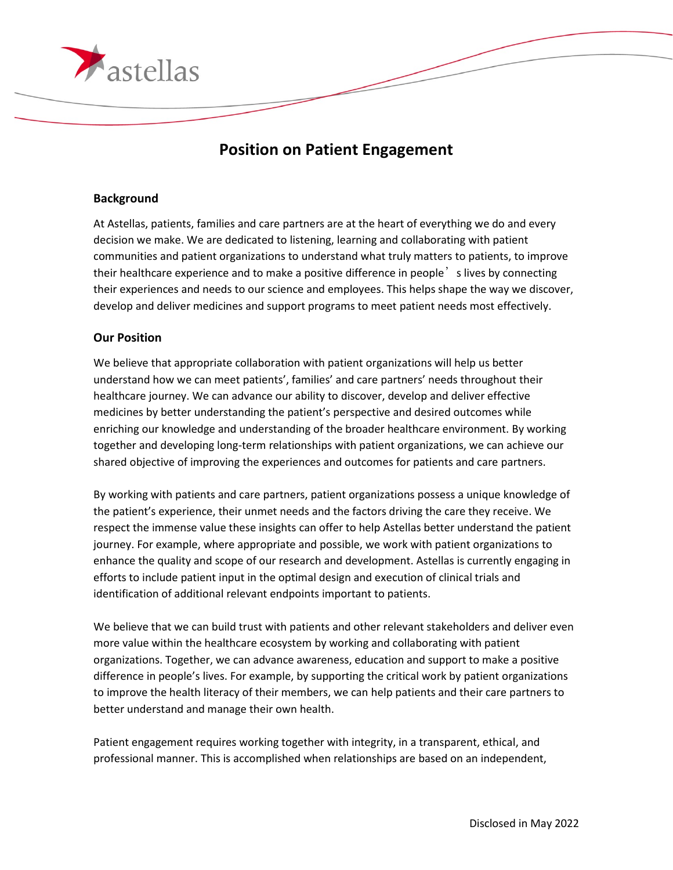

## **Position on Patient Engagement**

## **Background**

At Astellas, patients, families and care partners are at the heart of everything we do and every decision we make. We are dedicated to listening, learning and collaborating with patient communities and patient organizations to understand what truly matters to patients, to improve their healthcare experience and to make a positive difference in people's lives by connecting their experiences and needs to our science and employees. This helps shape the way we discover, develop and deliver medicines and support programs to meet patient needs most effectively.

## **Our Position**

We believe that appropriate collaboration with patient organizations will help us better understand how we can meet patients', families' and care partners' needs throughout their healthcare journey. We can advance our ability to discover, develop and deliver effective medicines by better understanding the patient's perspective and desired outcomes while enriching our knowledge and understanding of the broader healthcare environment. By working together and developing long-term relationships with patient organizations, we can achieve our shared objective of improving the experiences and outcomes for patients and care partners.

By working with patients and care partners, patient organizations possess a unique knowledge of the patient's experience, their unmet needs and the factors driving the care they receive. We respect the immense value these insights can offer to help Astellas better understand the patient journey. For example, where appropriate and possible, we work with patient organizations to enhance the quality and scope of our research and development. Astellas is currently engaging in efforts to include patient input in the optimal design and execution of clinical trials and identification of additional relevant endpoints important to patients.

We believe that we can build trust with patients and other relevant stakeholders and deliver even more value within the healthcare ecosystem by working and collaborating with patient organizations. Together, we can advance awareness, education and support to make a positive difference in people's lives. For example, by supporting the critical work by patient organizations to improve the health literacy of their members, we can help patients and their care partners to better understand and manage their own health.

Patient engagement requires working together with integrity, in a transparent, ethical, and professional manner. This is accomplished when relationships are based on an independent,